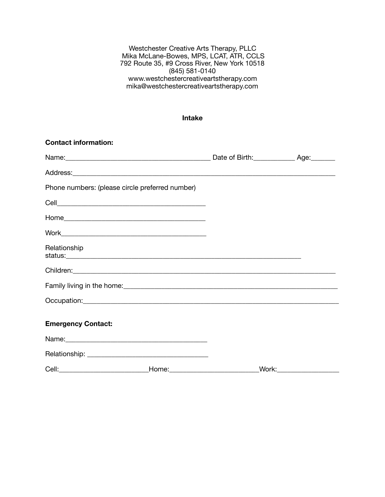Westchester Creative Arts Therapy, PLLC Mika McLane-Bowes, MPS, LCAT, ATR, CCLS 792 Route 35, #9 Cross River, New York 10518 (845) 581-0140 [www.westchestercreativeartstherapy.com](http://www.westchestercreativeartstherapy.com) [mika@westchestercreativeartstherapy.com](mailto:mika@westchestercreativeartstherapy.com)

## **Intake**

| <b>Contact information:</b>                     |  |                                |
|-------------------------------------------------|--|--------------------------------|
|                                                 |  |                                |
|                                                 |  |                                |
| Phone numbers: (please circle preferred number) |  |                                |
|                                                 |  |                                |
|                                                 |  |                                |
|                                                 |  |                                |
| Relationship                                    |  |                                |
|                                                 |  |                                |
|                                                 |  |                                |
|                                                 |  |                                |
| <b>Emergency Contact:</b>                       |  |                                |
|                                                 |  |                                |
|                                                 |  |                                |
|                                                 |  | _Work:________________________ |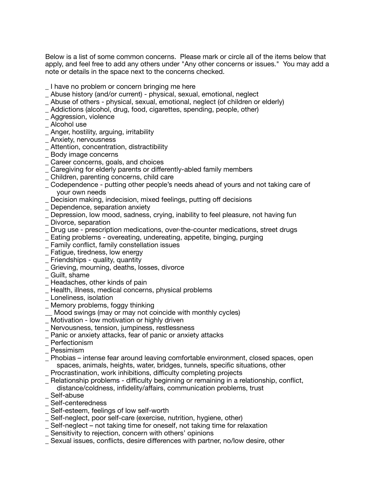Below is a list of some common concerns. Please mark or circle all of the items below that apply, and feel free to add any others under "Any other concerns or issues." You may add a note or details in the space next to the concerns checked.

- I have no problem or concern bringing me here
- \_ Abuse history (and/or current) physical, sexual, emotional, neglect
- \_ Abuse of others physical, sexual, emotional, neglect (of children or elderly)
- \_ Addictions (alcohol, drug, food, cigarettes, spending, people, other)
- \_ Aggression, violence
- Alcohol use
- \_ Anger, hostility, arguing, irritability
- \_ Anxiety, nervousness
- \_ Attention, concentration, distractibility
- \_ Body image concerns
- \_ Career concerns, goals, and choices
- \_ Caregiving for elderly parents or differently-abled family members
- \_ Children, parenting concerns, child care
- \_ Codependence putting other people's needs ahead of yours and not taking care of your own needs
- \_ Decision making, indecision, mixed feelings, putting off decisions
- \_ Dependence, separation anxiety
- \_ Depression, low mood, sadness, crying, inability to feel pleasure, not having fun
- \_ Divorce, separation
- \_ Drug use prescription medications, over-the-counter medications, street drugs
- \_ Eating problems overeating, undereating, appetite, binging, purging
- \_ Family conflict, family constellation issues
- \_ Fatigue, tiredness, low energy
- \_ Friendships quality, quantity
- \_ Grieving, mourning, deaths, losses, divorce
- \_ Guilt, shame
- \_ Headaches, other kinds of pain
- \_ Health, illness, medical concerns, physical problems
- \_ Loneliness, isolation
- \_ Memory problems, foggy thinking
- \_\_ Mood swings (may or may not coincide with monthly cycles)
- \_ Motivation low motivation or highly driven
- \_ Nervousness, tension, jumpiness, restlessness
- \_ Panic or anxiety attacks, fear of panic or anxiety attacks
- **Perfectionism**
- \_ Pessimism
- \_ Phobias intense fear around leaving comfortable environment, closed spaces, open spaces, animals, heights, water, bridges, tunnels, specific situations, other
- \_ Procrastination, work inhibitions, difficulty completing projects
- \_ Relationship problems difficulty beginning or remaining in a relationship, conflict, distance/coldness, infidelity/affairs, communication problems, trust
- Self-abuse
- Self-centeredness
- \_ Self-esteem, feelings of low self-worth
- \_ Self-neglect, poor self-care (exercise, nutrition, hygiene, other)
- \_ Self-neglect not taking time for oneself, not taking time for relaxation
- \_ Sensitivity to rejection, concern with others' opinions
- \_ Sexual issues, conflicts, desire differences with partner, no/low desire, other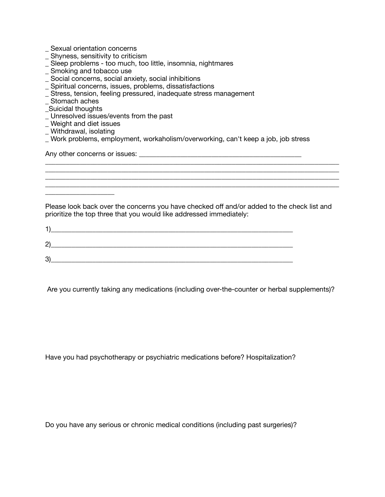- Sexual orientation concerns
- \_ Shyness, sensitivity to criticism
- \_ Sleep problems too much, too little, insomnia, nightmares
- \_ Smoking and tobacco use
- \_ Social concerns, social anxiety, social inhibitions
- \_ Spiritual concerns, issues, problems, dissatisfactions
- \_ Stress, tension, feeling pressured, inadequate stress management
- Stomach aches
- \_Suicidal thoughts
- \_ Unresolved issues/events from the past
- \_ Weight and diet issues
- \_ Withdrawal, isolating

\_\_\_\_\_\_\_\_\_\_\_\_\_\_\_\_\_\_\_\_

\_ Work problems, employment, workaholism/overworking, can't keep a job, job stress

Any other concerns or issues: \_\_\_\_\_\_\_\_\_\_\_\_\_\_\_\_\_\_\_\_\_\_\_\_\_\_\_\_\_\_\_\_\_\_\_\_\_\_\_\_\_\_\_\_\_\_\_

Please look back over the concerns you have checked off and/or added to the check list and prioritize the top three that you would like addressed immediately:

\_\_\_\_\_\_\_\_\_\_\_\_\_\_\_\_\_\_\_\_\_\_\_\_\_\_\_\_\_\_\_\_\_\_\_\_\_\_\_\_\_\_\_\_\_\_\_\_\_\_\_\_\_\_\_\_\_\_\_\_\_\_\_\_\_\_\_\_\_\_\_\_\_\_\_\_\_\_\_\_\_\_\_\_\_ \_\_\_\_\_\_\_\_\_\_\_\_\_\_\_\_\_\_\_\_\_\_\_\_\_\_\_\_\_\_\_\_\_\_\_\_\_\_\_\_\_\_\_\_\_\_\_\_\_\_\_\_\_\_\_\_\_\_\_\_\_\_\_\_\_\_\_\_\_\_\_\_\_\_\_\_\_\_\_\_\_\_\_\_\_ \_\_\_\_\_\_\_\_\_\_\_\_\_\_\_\_\_\_\_\_\_\_\_\_\_\_\_\_\_\_\_\_\_\_\_\_\_\_\_\_\_\_\_\_\_\_\_\_\_\_\_\_\_\_\_\_\_\_\_\_\_\_\_\_\_\_\_\_\_\_\_\_\_\_\_\_\_\_\_\_\_\_\_\_\_ \_\_\_\_\_\_\_\_\_\_\_\_\_\_\_\_\_\_\_\_\_\_\_\_\_\_\_\_\_\_\_\_\_\_\_\_\_\_\_\_\_\_\_\_\_\_\_\_\_\_\_\_\_\_\_\_\_\_\_\_\_\_\_\_\_\_\_\_\_\_\_\_\_\_\_\_\_\_\_\_\_\_\_\_\_

| 2      |  |  |
|--------|--|--|
| ≏<br>c |  |  |

Are you currently taking any medications (including over-the-counter or herbal supplements)?

Have you had psychotherapy or psychiatric medications before? Hospitalization?

Do you have any serious or chronic medical conditions (including past surgeries)?